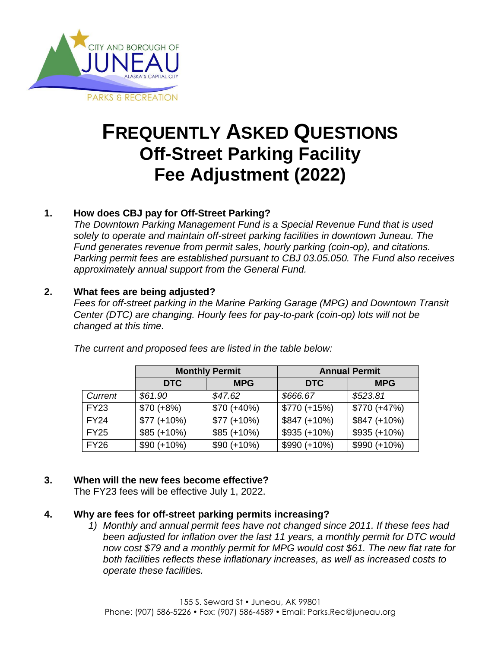

# **FREQUENTLY ASKED QUESTIONS Off-Street Parking Facility Fee Adjustment (2022)**

## **1. How does CBJ pay for Off-Street Parking?**

*The Downtown Parking Management Fund is a Special Revenue Fund that is used solely to operate and maintain off-street parking facilities in downtown Juneau. The Fund generates revenue from permit sales, hourly parking (coin-op), and citations. Parking permit fees are established pursuant to CBJ 03.05.050. The Fund also receives approximately annual support from the General Fund.*

## **2. What fees are being adjusted?**

*Fees for off-street parking in the Marine Parking Garage (MPG) and Downtown Transit Center (DTC)* are changing. Hourly fees for pay-to-park (coin-op) lots will not be *changed at this time.* 

|             | <b>Monthly Permit</b> |              | <b>Annual Permit</b> |                |
|-------------|-----------------------|--------------|----------------------|----------------|
|             | <b>DTC</b>            | <b>MPG</b>   | <b>DTC</b>           | <b>MPG</b>     |
| Current     | \$61.90               | \$47.62      | \$666.67             | \$523.81       |
| <b>FY23</b> | $$70 (+8%)$           | $$70 (+40%)$ | $$770 (+15%)$        | $$770 (+47%)$  |
| <b>FY24</b> | $$77 (+10%)$          | $$77 (+10%)$ | $$847 (+10%)$        | $$847 (+10%)$  |
| <b>FY25</b> | $$85 (+10%)$          | $$85 (+10%)$ | $$935 (+10\%)$       | $$935 (+10\%)$ |
| <b>FY26</b> | $$90 (+10%)$          | $$90 (+10%)$ | $$990 (+10\%)$       | $$990 (+10%)$  |

*The current and proposed fees are listed in the table below:*

#### **3. When will the new fees become effective?**

The FY23 fees will be effective July 1, 2022.

#### **4. Why are fees for off-street parking permits increasing?**

*1) Monthly and annual permit fees have not changed since 2011. If these fees had been adjusted for inflation over the last 11 years, a monthly permit for DTC would now cost \$79 and a monthly permit for MPG would cost \$61. The new flat rate for both facilities reflects these inflationary increases, as well as increased costs to operate these facilities.*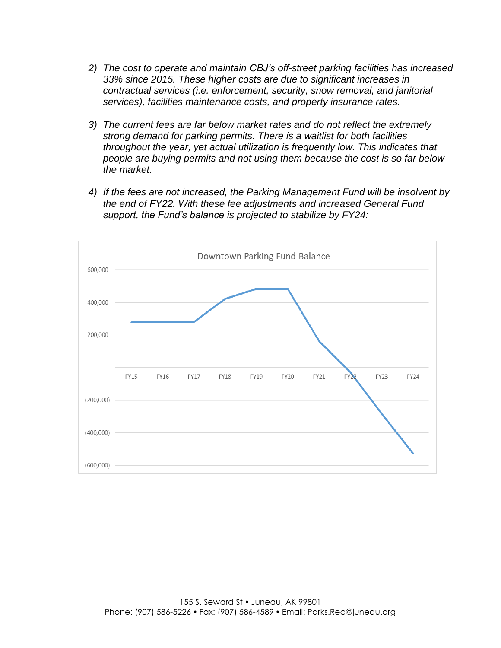- *2) The cost to operate and maintain CBJ's off-street parking facilities has increased 33% since 2015. These higher costs are due to significant increases in contractual services (i.e. enforcement, security, snow removal, and janitorial services), facilities maintenance costs, and property insurance rates.*
- *3) The current fees are far below market rates and do not reflect the extremely strong demand for parking permits. There is a waitlist for both facilities throughout the year, yet actual utilization is frequently low. This indicates that people are buying permits and not using them because the cost is so far below the market.*
- *4) If the fees are not increased, the Parking Management Fund will be insolvent by the end of FY22. With these fee adjustments and increased General Fund support, the Fund's balance is projected to stabilize by FY24:*